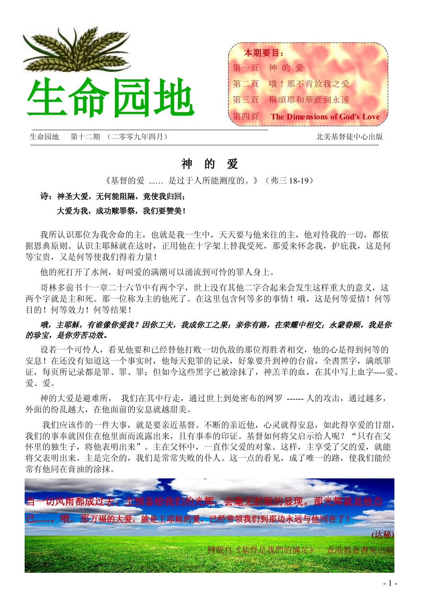



生命园地 第十二期 (二零零九年四月) 北美基督徒中心出版

# 神 的 爱

《基督的爱 ...… 是过于人所能测度的。》(弗三 18-19)

### 诗: 神圣大爱, 无何能阻隔, 竟使我归回;

### 大爱为我,成功赎罪祭,我们要赞美!

我所认识那位为我舍命的主,也就是我一生中,天天要与他来往的主,他对待我的一切,都依 据恩典原则。认识主耶稣就在这时,正用他在十字架上替我受死,那爱来怀念我,护庇我,这是何 等宝贵,又是何等使我们得着力量!

他的死打开了水闸,好叫爱的满潮可以涌流到可怜的罪人身上。

哥林多前书十一章二十六节中有两个字,世上没有其他二字合起来会发生这样重大的意义,这 两个字就是主和死。那一位称为主的他死了。在这里包含何等多的事情!哦,这是何等爱情!何等 目的!何等效力!何等结果!

## 哦,主耶稣,有谁像你爱我?因你工夫,我成你工之果;亲你有路,在荣耀中相交;永蒙眷顾,我是你 的珍宝,是你劳苦功效。

设若一个可怜人,看见他要和已经替他打败一切仇敌的那位得胜者相交,他的心是得到何等的 安息!在还没有知道这一个事实时,他每天犯罪的记录,好象要升到神的台前,全書黑字,满纸罪 证,每页所记录都是罪、罪、罪;但如今这些黑字已被涂抹了,神羔羊的血,在其中写上血字----爱、 爱、爱。

神的大爱是避难所, 我们在其中行走,通过世上到处密布的网罗 ------ 人的攻击,通过越多, 外面的纷乱越大,在他面前的安息就越甜美。

我们应该作的一件大事,就是要亲近基督。不断的亲近他,心灵就得安息,如此得享爱的甘甜, 我们的事奉就因住在他里面而流露出来,且有事奉的印证。基督如何将父启示给人呢?"只有在父 怀里的独生子,将他表明出来"。主在父怀中,一直作父爱的对象。这样,主享受了父的爱,就能 将父表明出来。主是完全的,我们是常常失败的仆人。这一点的看见,成了唯一的路,使我们能经 常有他同在膏油的涂抹。

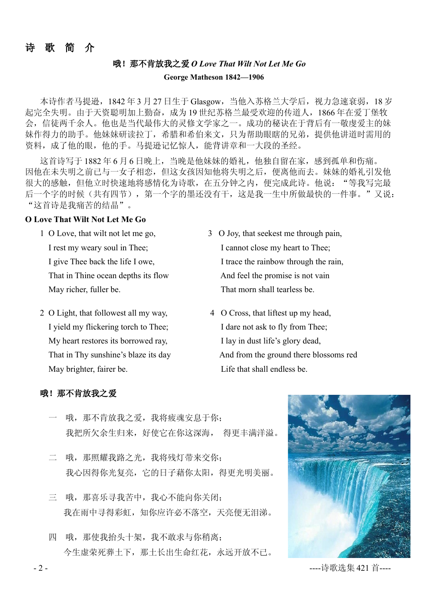# 诗 歌 简 介

# 哦!那不肯放我之爱 *O Love That Wilt Not Let Me Go* **George Matheson 1842—1906**

本诗作者马提逊, 1842年3月 27 日生于 Glasgow, 当他入苏格兰大学后, 视力急速衰弱, 18 岁 起完全失明。由于天资聪明加上勤奋,成为 19 世纪苏格兰最受欢迎的传道人,1866 年在爱丁堡牧 会,信徒两千余人。他也是当代最伟大的灵修文学家之一。成功的秘诀在于背后有一敬虔爱主的妹 妹作得力的助手。他妹妹研读拉丁,希腊和希伯来文,只为帮助眼瞎的兄弟,提供他讲道时需用的 资料,成了他的眼,他的手。马提逊记忆惊人,能背讲章和一大段的圣经。

这首诗写于 1882 年 6 月 6 日晚上,当晚是他妹妹的婚礼,他独自留在家,感到孤单和伤痛。 因他在未失明之前已与一女子相恋,但这女孩因知他将失明之后,便离他而去。妹妹的婚礼引发他 很大的感触,但他立时快速地将感情化为诗歌,在五分钟之内,便完成此诗。他说:"等我写完最 后一个字的时候(共有四节),第一个字的墨还没有干,这是我一生中所做最快的一件事。"又说: "这首诗是我痛苦的结晶"。

#### **O Love That Wilt Not Let Me Go**

That in Thine ocean depths its flow And feel the promise is not vain

- 2 O Light, that followest all my way, 4 O Cross, that liftest up my head, I yield my flickering torch to Thee; I dare not ask to fly from Thee; My heart restores its borrowed ray, I lay in dust life's glory dead, May brighter, fairer be. Life that shall endless be.
- 1 O Love, that wilt not let me go, 3 O Joy, that seekest me through pain, I rest my weary soul in Thee; I cannot close my heart to Thee; I give Thee back the life I owe, I trace the rainbow through the rain, May richer, fuller be. That morn shall tearless be.
	- That in Thy sunshine's blaze its day And from the ground there blossoms red

#### 哦!那不肯放我之爱

- 哦,那不肯放我之爱,我将疲魂安息于你; 我把所欠余生归来,好使它在你这深海, 得更丰满洋溢。
- 二 哦, 那照耀我路之光, 我将残灯带来交你; 我心因得你光复亮,它的日子藉你太阳,得更光明美丽。
- 三 哦,那喜乐寻我苦中,我心不能向你关闭; 我在雨中寻得彩虹,知你应许必不落空,天亮便无泪涕。
- 四 哦,那使我抬头十架,我不敢求与你稍离; 今生虚荣死葬土下,那土长出生命红花,永远开放不已。



- 2 - ----诗歌选集 421 首----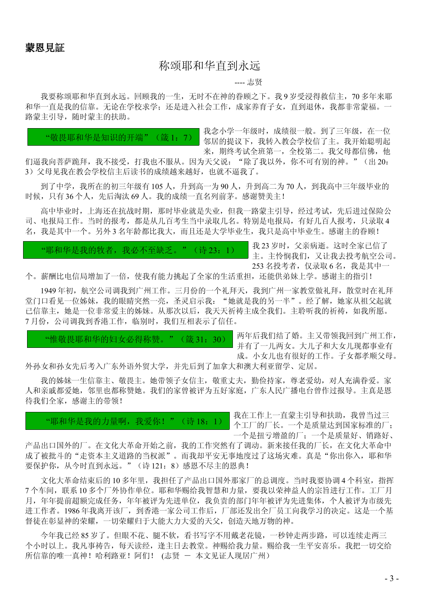# 称颂耶和华直到永远

---- 志贤

我要称颂耶和华直到永远。回顾我的一生,无时不在神的眷顾之下。我 9 岁受浸得救信主, 70 多年来耶 和华一直是我的信靠。无论在学校求学;还是进入社会工作,成家养育子女,直到退休,我都非常蒙福。一 路蒙主引导,随时蒙主的扶助。

"敬畏耶和华是知识的开端"(箴 1:7)

我念小学一年级时,成绩很一般。到了三年级,在一位 邻居的提议下,我转入教会学校信了主。我开始聪明起 来, 期终考试全班第一, 全校第二。我父母都信佛, 他

们逼我向菩萨跪拜,我不接受,打我也不服从。因为天父说:"除了我以外,你不可有别的神。"(出 20: 3)父母见我在教会学校信主后读书的成绩越来越好,也就不逼我了。

到了中学,我所在的初三年级有105人,升到高一为90人,升到高二为70人,到我高中三年级毕业的 时候,只有36个人,先后淘汰 69 人。我的成绩一直名列前茅。感谢赞美主!

高中毕业时,上海还在抗战时期,那时毕业就是失业,但我一路蒙主引导,经过考试,先后进过保险公 司、电报局工作。当时的报考,都是从几百考生当中录取几名。特别是电报局,有好几百人报考,只录取 4 名,我是其中一个。另外 3 名年龄都比我大,而且还是大学毕业生,我只是高中毕业生。感谢主的眷顾!

"耶和华是我的牧者,我必不至缺乏。"(诗 23:1)

我 23 岁时,父亲病逝。这时全家已信了 主。主怜悯我们,又让我去投考航空公司。 253 名投考者, 仅录取 6 名, 我是其中一

个。薪酬比电信局增加了一倍,使我有能力挑起了全家的生活重担,还能供弟妹上学。感谢主的指引!

1949年初,航空公司调我到广州工作。三月份的一个礼拜天,我到广州一家教堂做礼拜,散堂时在礼拜 堂门口看见一位姊妹,我的眼睛突然一亮,圣灵启示我: "她就是我的另一半"。经了解,她家从祖父起就 已信靠主,她是一位非常爱主的姊妹。从那次以后,我天天祈祷主成全我们。主聆听我的祈祷,如我所愿。 7月份,公司调我到香港工作,临别时,我们互相表示了信任。

"惟敬畏耶和华的妇女必得称赞。"(箴 31:30)

两年后我们结了婚。主又带领我回到广州工作, 并有了一儿两女。大儿子和大女儿现都事业有 成。小女儿也有很好的工作。子女都孝顺父母。

外孙女和孙女先后考入广东外语外贸大学,并先后到了加拿大和澳大利亚留学、定居。

我的姊妹一生信靠主、敬畏主。她带领子女信主,敬重丈夫,勤俭持家,尊老爱幼,对人充满眷爱。家 人和亲戚都爱她,邻里也都称赞她。我们的家曾被评为五好家庭,广东人民广播电台曾作过报导。主真是恩 待我们全家,感谢主的带领!

"耶和华是我的力量啊,我爱你!"(诗 18:1)

我在工作上一直蒙主引导和扶助,我曾当过三 个工厂的厂长。一个是质量达到国家标准的厂; 一个是扭亏增盈的厂;一个是质量好、销路好、

产品出口国外的厂。在文化大革命开始之前,我的工作突然有了调动。新来接任我的厂长,在文化大革命中 成了被批斗的"走资本主义道路的当权派"。而我却平安无事地度过了这场灾难。真是"你出你入,耶和华 要保护你, 从今时直到永远。"(诗 121: 8)感恩不尽主的恩典!

文化大革命结束后的10多年里,我担任了产品出口国外那家厂的总调度。当时我要协调 4 个科室, 指挥 7 个车间,联系 10 多个厂外协作单位。耶和华赐给我智慧和力量,要我以荣神益人的宗旨进行工作。工厂月 月,年年提前超额完成任务,年年被评为先进单位,我负责的部门年年被评为先进集体,个人被评为市级先 进工作者。1986 年我离开该厂,到香港一家公司工作后,厂部还发出全厂员工向我学习的决定。这是一个基 督徒在彰显神的荣耀,一切荣耀归于大能大力大爱的天父,创造天地万物的神。

今年我已经 85 岁了。但眼不花、腿不软,看书写字不用戴老花镜,一秒钟走两步路,可以连续走两三 个小时以上。我凡事祷告,每天读经,逢主日去教堂。神赐给我力量。赐给我一生平安喜乐。我把一切交给 所信靠的唯一真神!哈利路亚!阿们! (志贤 - 本文见证人现居广州)